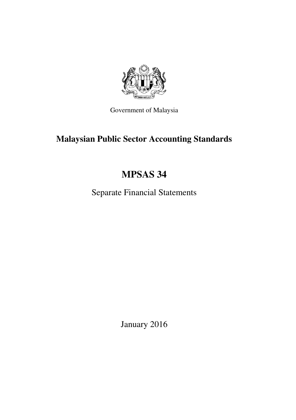

Government of Malaysia

# **Malaysian Public Sector Accounting Standards**

# **MPSAS 34**

Separate Financial Statements

January 2016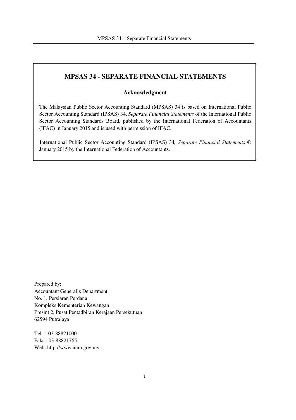# **MPSAS 34 - SEPARATE FINANCIAL STATEMENTS**

#### **Acknowledgment**

The Malaysian Public Sector Accounting Standard (MPSAS) 34 is based on International Public Sector Accounting Standard (IPSAS) 34, *Separate Financial Statements* of the International Public Sector Accounting Standards Board, published by the International Federation of Accountants (IFAC) in January 2015 and is used with permission of IFAC.

International Public Sector Accounting Standard (IPSAS) 34*, Separate Financial Statements* © January 2015 by the International Federation of Accountants.

Prepared by: Accountant General's Department No. 1, Persiaran Perdana Kompleks Kementerian Kewangan Presint 2, Pusat Pentadbiran Kerajaan Persekutuan 62594 Putrajaya

Tel : 03-88821000 Faks : 03-88821765 Web: http://www.anm.gov.my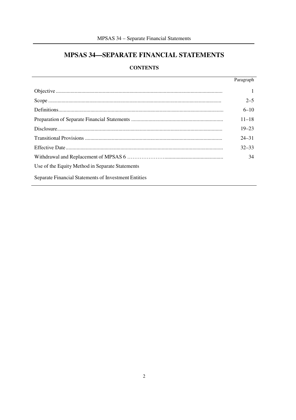# MPSAS 34-SEPARATE FINANCIAL STATEMENTS

# **CONTENTS**

|                                                      | Paragraph |
|------------------------------------------------------|-----------|
|                                                      |           |
|                                                      | $2 - 5$   |
|                                                      | $6 - 10$  |
|                                                      | $11 - 18$ |
|                                                      | $19 - 23$ |
|                                                      | $24 - 31$ |
|                                                      | $32 - 33$ |
|                                                      | 34        |
| Use of the Equity Method in Separate Statements      |           |
| Separate Financial Statements of Investment Entities |           |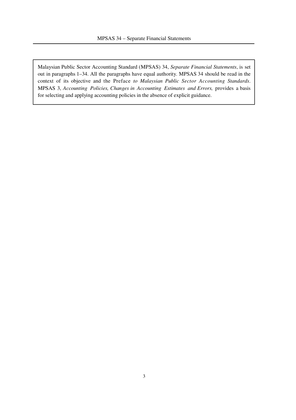Malaysian Public Sector Accounting Standard (MPSAS) 34, *Separate Financial Statements*, is set out in paragraphs 1–34. All the paragraphs have equal authority. MPSAS 34 should be read in the context of its objective and the Preface *to Malaysian Public Sector Accounting Standards*. MPSAS 3, *Accounting Policies, Changes in Accounting Estimates and Errors,* provides a basis for selecting and applying accounting policies in the absence of explicit guidance.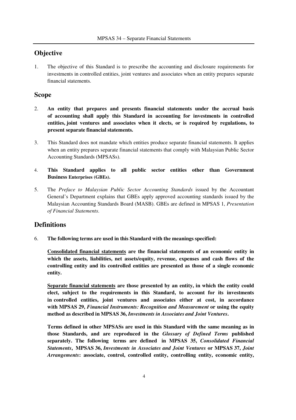# **Objective**

1. The objective of this Standard is to prescribe the accounting and disclosure requirements for investments in controlled entities, joint ventures and associates when an entity prepares separate financial statements.

### **Scope**

- 2. **An entity that prepares and presents financial statements under the accrual basis of accounting shall apply this Standard in accounting for investments in controlled entities, joint ventures and associates when it elects, or is required by regulations, to present separate financial statements.**
- 3. This Standard does not mandate which entities produce separate financial statements. It applies when an entity prepares separate financial statements that comply with Malaysian Public Sector Accounting Standards (MPSASs).
- 4. **This Standard applies to all public sector entities other than Government Business Enterprises (GBEs).**
- 5. The *Preface to Malaysian Public Sector Accounting Standards* issued by the Accountant General's Department explains that GBEs apply approved accounting standards issued by the Malaysian Accounting Standards Board (MASB). GBEs are defined in MPSAS 1, *Presentation of Financial Statements*.

#### **Definitions**

6. **The following terms are used in this Standard with the meanings specified:**

**Consolidated financial statements are the financial statements of an economic entity in which the assets, liabilities, net assets/equity, revenue, expenses and cash flows of the controlling entity and its controlled entities are presented as those of a single economic entity.**

**Separate financial statements are those presented by an entity, in which the entity could elect, subject to the requirements in this Standard, to account for its investments in controlled entities, joint ventures and associates either at cost, in accordance with MPSAS 29,** *Financial Instruments: Recognition and Measurement* **or using the equity method as described in MPSAS 36,** *Investments in Associates and Joint Ventures***.**

**Terms defined in other MPSASs are used in this Standard with the same meaning as in those Standards, and are reproduced in the** *Glossary of Defined Terms* **published separately. The following terms are defined in MPSAS 35,** *Consolidated Financial Statements***, MPSAS 36,** *Investments in Associates and Joint Ventures* **or MPSAS 37,** *Joint Arrangements***: associate, control, controlled entity, controlling entity, economic entity,**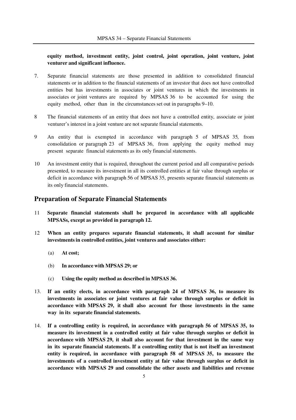#### **equity method, investment entity, joint control, joint operation, joint venture, joint venturer and significant influence.**

- 7. Separate financial statements are those presented in addition to consolidated financial statements or in addition to the financial statements of an investor that does not have controlled entities but has investments in associates or joint ventures in which the investments in associates or joint ventures are required by MPSAS 36 to be accounted for using the equity method, other than in the circumstances set out in paragraphs 9–10.
- 8 The financial statements of an entity that does not have a controlled entity, associate or joint venturer's interest in a joint venture are not separate financial statements.
- 9 An entity that is exempted in accordance with paragraph 5 of MPSAS 35*,* from consolidation or paragraph 23 of MPSAS 36, from applying the equity method may present separate financial statements as its only financial statements.
- 10 An investment entity that is required, throughout the current period and all comparative periods presented, to measure its investment in all its controlled entities at fair value through surplus or deficit in accordance with paragraph 56 of MPSAS 35, presents separate financial statements as its only financial statements.

### **Preparation of Separate Financial Statements**

- 11 **Separate financial statements shall be prepared in accordance with all applicable MPSASs, except as provided in paragraph 12.**
- 12 **When an entity prepares separate financial statements, it shall account for similar investments in controlled entities, joint ventures and associates either:**
	- (a) **At cost;**
	- (b) **In accordance with MPSAS 29; or**
	- (c) **Using the equity method as described in MPSAS 36.**
- 13. **If an entity elects, in accordance with paragraph 24 of MPSAS 36, to measure its investments in associates or joint ventures at fair value through surplus or deficit in accordance with MPSAS 29, it shall also account for those investments in the same way in its separate financial statements.**
- 14. **If a controlling entity is required, in accordance with paragraph 56 of MPSAS 35, to measure its investment in a controlled entity at fair value through surplus or deficit in accordance with MPSAS 29, it shall also account for that investment in the same way in its separate financial statements. If a controlling entity that is not itself an investment entity is required, in accordance with paragraph 58 of MPSAS 35, to measure the investments of a controlled investment entity at fair value through surplus or deficit in accordance with MPSAS 29 and consolidate the other assets and liabilities and revenue**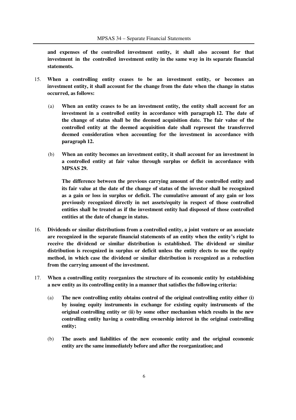**and expenses of the controlled investment entity, it shall also account for that investment in the controlled investment entity in the same way in its separate financial statements.**

- 15. **When a controlling entity ceases to be an investment entity, or becomes an investment entity, it shall account for the change from the date when the change in status occurred, as follows:**
	- (a) **When an entity ceases to be an investment entity, the entity shall account for an investment in a controlled entity in accordance with paragraph 12. The date of the change of status shall be the deemed acquisition date. The fair value of the controlled entity at the deemed acquisition date shall represent the transferred deemed consideration when accounting for the investment in accordance with paragraph 12.**
	- (b) **When an entity becomes an investment entity, it shall account for an investment in a controlled entity at fair value through surplus or deficit in accordance with MPSAS 29.**

**The difference between the previous carrying amount of the controlled entity and its fair value at the date of the change of status of the investor shall be recognized as a gain or loss in surplus or deficit. The cumulative amount of any gain or loss previously recognized directly in net assets/equity in respect of those controlled entities shall be treated as if the investment entity had disposed of those controlled entities at the date of change in status.**

- 16. **Dividends or similar distributions from a controlled entity, a joint venture or an associate are recognized in the separate financial statements of an entity when the entity's right to receive the dividend or similar distribution is established. The dividend or similar distribution is recognized in surplus or deficit unless the entity elects to use the equity method, in which case the dividend or similar distribution is recognized as a reduction from the carrying amount of the investment.**
- 17. **When a controlling entity reorganizes the structure of its economic entity by establishing a new entity as its controlling entity in a manner that satisfies the following criteria:**
	- (a) **The new controlling entity obtains control of the original controlling entity either (i) by issuing equity instruments in exchange for existing equity instruments of the original controlling entity or (ii) by some other mechanism which results in the new controlling entity having a controlling ownership interest in the original controlling entity;**
	- (b) **The assets and liabilities of the new economic entity and the original economic entity are the same immediately before and after the reorganization; and**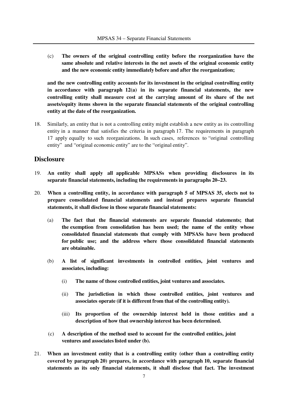(c) **The owners of the original controlling entity before the reorganization have the same absolute and relative interests in the net assets of the original economic entity and the new economic entity immediately before and after the reorganization;**

**and the new controlling entity accounts for its investment in the original controlling entity in accordance with paragraph 12(a) in its separate financial statements, the new controlling entity shall measure cost at the carrying amount of its share of the net assets/equity items shown in the separate financial statements of the original controlling entity at the date of the reorganization.**

18. Similarly, an entity that is not a controlling entity might establish a new entity as its controlling entity in a manner that satisfies the criteria in paragraph 17. The requirements in paragraph 17 apply equally to such reorganizations. In such cases, references to "original controlling entity" and "original economic entity" are to the "original entity".

#### **Disclosure**

- 19. **An entity shall apply all applicable MPSASs when providing disclosures in its separate financial statements, including the requirements in paragraphs 20–23.**
- 20. **When a controlling entity, in accordance with paragraph 5 of MPSAS 35, elects not to prepare consolidated financial statements and instead prepares separate financial statements, it shall disclose in those separate financial statements:**
	- (a) **The fact that the financial statements are separate financial statements; that the exemption from consolidation has been used; the name of the entity whose consolidated financial statements that comply with MPSASs have been produced for public use; and the address where those consolidated financial statements are obtainable.**
	- (b) **A list of significant investments in controlled entities, joint ventures and associates, including:**
		- (i) **The name of those controlled entities, joint ventures and associates.**
		- (ii) **The jurisdiction in which those controlled entities, joint ventures and associates operate (if it is different from that of the controlling entity).**
		- (iii) **Its proportion of the ownership interest held in those entities and a description of how that ownership interest has been determined.**
	- (c) **A description of the method used to account for the controlled entities, joint ventures and associates listed under (b).**
- 21. **When an investment entity that is a controlling entity (other than a controlling entity covered by paragraph 20) prepares, in accordance with paragraph 10, separate financial statements as its only financial statements, it shall disclose that fact. The investment**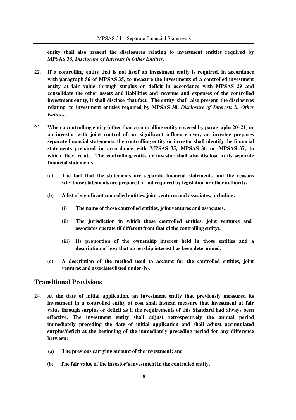**entity shall also present the disclosures relating to investment entities required by MPSAS 38,** *Disclosure of Interests in Other Entities***.**

- 22. **If a controlling entity that is not itself an investment entity is required, in accordance with paragraph 56 of MPSAS 35, to measure the investments of a controlled investment entity at fair value through surplus or deficit in accordance with MPSAS 29 and consolidate the other assets and liabilities and revenue and expenses of the controlled investment entity, it shall disclose that fact. The entity shall also present the disclosures relating to investment entities required by MPSAS 38,** *Disclosure of Interests in Other Entities***.**
- 23. **When a controlling entity (other than a controlling entity covered by paragraphs 20–21) or an investor with joint control of, or significant influence over, an investee prepares separate financial statements, the controlling entity or investor shall identify the financial statements prepared in accordance with MPSAS 35, MPSAS 36 or MPSAS 37, to which they relate. The controlling entity or investor shall also disclose in its separate financial statements:**
	- (a) **The fact that the statements are separate financial statements and the reasons why those statements are prepared, if not required by legislation or other authority.**
	- (b) **A list of significant controlled entities, joint ventures and associates, including:**
		- (i) **The name of those controlled entities, joint ventures and associates.**
		- (ii) **The jurisdiction in which those controlled entities, joint ventures and associates operate (if different from that of the controlling entity).**
		- (iii) **Its proportion of the ownership interest held in those entities and a description of how that ownership interest has been determined.**
	- (c) **A description of the method used to account for the controlled entities, joint ventures and associates listed under (b).**

# **Transitional Provisions**

- 24. **At the date of initial application, an investment entity that previously measured its investment in a controlled entity at cost shall instead measure that investment at fair value through surplus or deficit as if the requirements of this Standard had always been effective. The investment entity shall adjust retrospectively the annual period immediately preceding the date of initial application and shall adjust accumulated surplus/deficit at the beginning of the immediately preceding period for any difference between:**
	- (a) **The previous carrying amount of the investment; and**
	- (b) **The fair value of the investor's investment in the controlled entity.**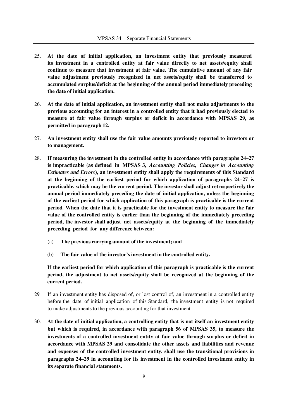- 25. **At the date of initial application, an investment entity that previously measured its investment in a controlled entity at fair value directly to net assets/equity shall continue to measure that investment at fair value. The cumulative amount of any fair value adjustment previously recognized in net assets/equity shall be transferred to accumulated surplus/deficit at the beginning of the annual period immediately preceding the date of initial application.**
- 26. **At the date of initial application, an investment entity shall not make adjustments to the previous accounting for an interest in a controlled entity that it had previously elected to measure at fair value through surplus or deficit in accordance with MPSAS 29, as permitted in paragraph 12.**
- 27. **An investment entity shall use the fair value amounts previously reported to investors or to management.**
- 28. **If measuring the investment in the controlled entity in accordance with paragraphs 24–27 is impracticable (as defined in MPSAS 3,** *Accounting Policies, Changes in Accounting Estimates and Errors***), an investment entity shall apply the requirements of this Standard at the beginning of the earliest period for which application of paragraphs 24–27 is practicable, which may be the current period. The investor shall adjust retrospectively the annual period immediately preceding the date of initial application, unless the beginning of the earliest period for which application of this paragraph is practicable is the current period. When the date that it is practicable for the investment entity to measure the fair value of the controlled entity is earlier than the beginning of the immediately preceding period, the investor shall adjust net assets/equity at the beginning of the immediately preceding period for any difference between:**
	- (a) **The previous carrying amount of the investment; and**
	- (b) **The fair value of the investor's investment in the controlled entity.**

**If the earliest period for which application of this paragraph is practicable is the current period, the adjustment to net assets/equity shall be recognized at the beginning of the current period.**

- 29 If an investment entity has disposed of, or lost control of, an investment in a controlled entity before the date of initial application of this Standard, the investment entity is not required to make adjustments to the previous accounting for that investment.
- 30. **At the date of initial application, a controlling entity that is not itself an investment entity but which is required, in accordance with paragraph 56 of MPSAS 35, to measure the investments of a controlled investment entity at fair value through surplus or deficit in accordance with MPSAS 29 and consolidate the other assets and liabilities and revenue and expenses of the controlled investment entity, shall use the transitional provisions in paragraphs 24–29 in accounting for its investment in the controlled investment entity in its separate financial statements.**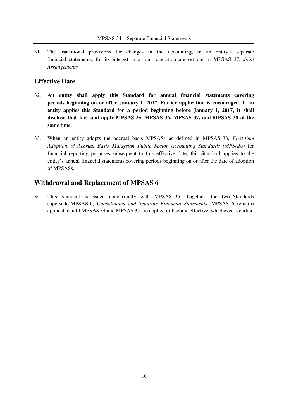31. The transitional provisions for changes in the accounting, in an entity's separate financial statements, for its interest in a joint operation are set out in MPSAS 37, *Joint Arrangements.*

### **Effective Date**

- 32. **An entity shall apply this Standard for annual financial statements covering periods beginning on or after January 1, 2017. Earlier application is encouraged. If an entity applies this Standard for a period beginning before January 1, 2017, it shall disclose that fact and apply MPSAS 35, MPSAS 36, MPSAS 37, and MPSAS 38 at the same time.**
- 33. When an entity adopts the accrual basis MPSASs as defined in MPSAS 33, *First-time Adoption of Accrual Basis Malaysian Public Sector Accounting Standards (MPSASs)* for financial reporting purposes subsequent to this effective date, this Standard applies to the entity's annual financial statements covering periods beginning on or after the date of adoption of MPSASs.

# **Withdrawal and Replacement of MPSAS 6**

34. This Standard is issued concurrently with MPSAS 35. Together, the two Standards supersede MPSAS 6, *Consolidated and Separate Financial Statements*. MPSAS 6 remains applicable until MPSAS 34 and MPSAS 35 are applied or become effective, whichever is earlier.